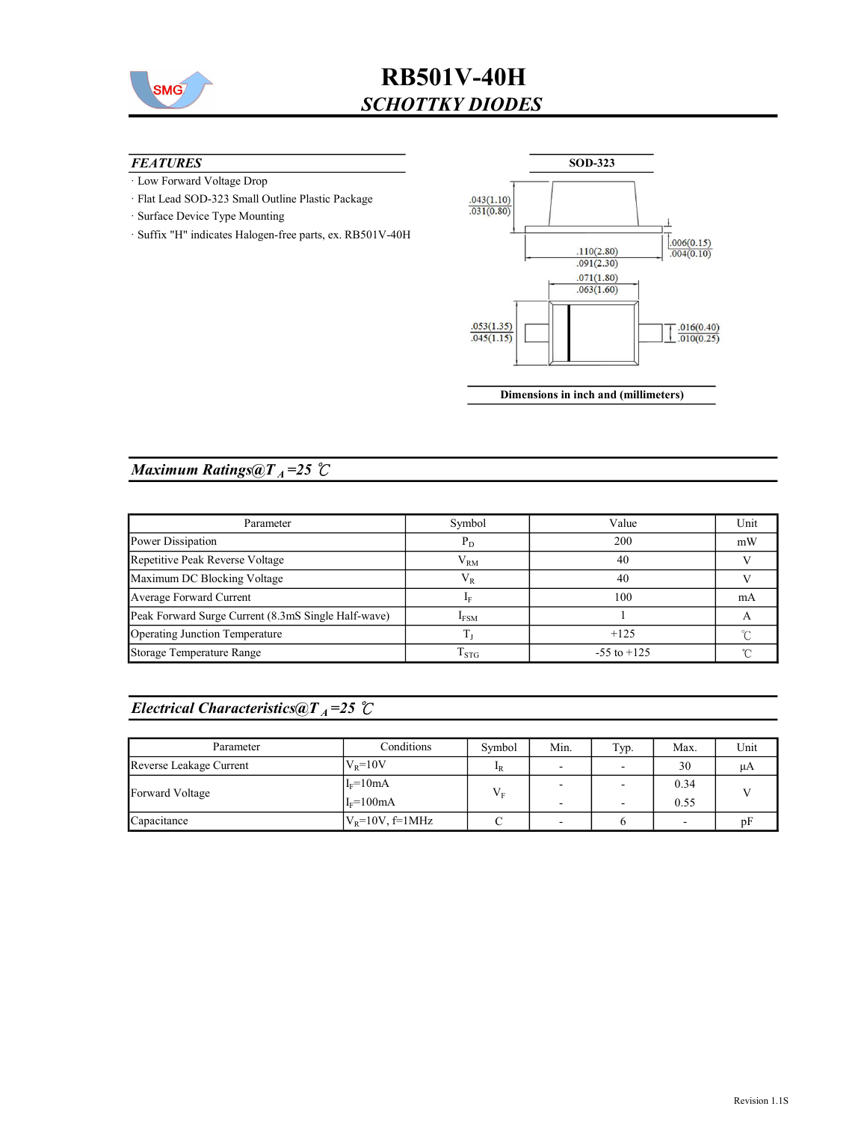

#### **FEATURES**

- · Low Forward Voltage Drop
- · Flat Lead SOD-323 Small Outline Plastic Package
- · Surface Device Type Mounting
- · Suffix "H" indicates Halogen-free parts, ex. RB501V-40H



Dimensions in inch and (millimeters)

### Maximum Ratings@ $T_A = 25$  °C

| Parameter                                           | Symbol             | Value           | Unit |
|-----------------------------------------------------|--------------------|-----------------|------|
| Power Dissipation                                   | $P_D$              | 200             | mW   |
| Repetitive Peak Reverse Voltage                     | $V_{RM}$           | 40              |      |
| Maximum DC Blocking Voltage                         | $\rm V_R$          | 40              |      |
| Average Forward Current                             |                    | 100             | mA   |
| Peak Forward Surge Current (8.3mS Single Half-wave) | I <sub>FSM</sub>   |                 |      |
| Operating Junction Temperature                      |                    | $+125$          |      |
| Storage Temperature Range                           | $\mathrm{T_{STG}}$ | $-55$ to $+125$ |      |

## Electrical Characteristics@T<sub>A</sub>=25  $\mathcal{C}$

| Parameter               | Conditions                 | Symbol      | Min.                     | Typ. | Max.         | Unit |
|-------------------------|----------------------------|-------------|--------------------------|------|--------------|------|
| Reverse Leakage Current | $VR=10V$                   | $_{\rm 1R}$ | $\overline{\phantom{0}}$ |      | 30           | иA   |
| Forward Voltage         | $I_F = 10mA$<br>$IF=100mA$ |             |                          |      | 0.34<br>0.55 |      |
| Capacitance             | $V_R = 10V$ , f=1MHz       |             | $\overline{\phantom{a}}$ |      |              |      |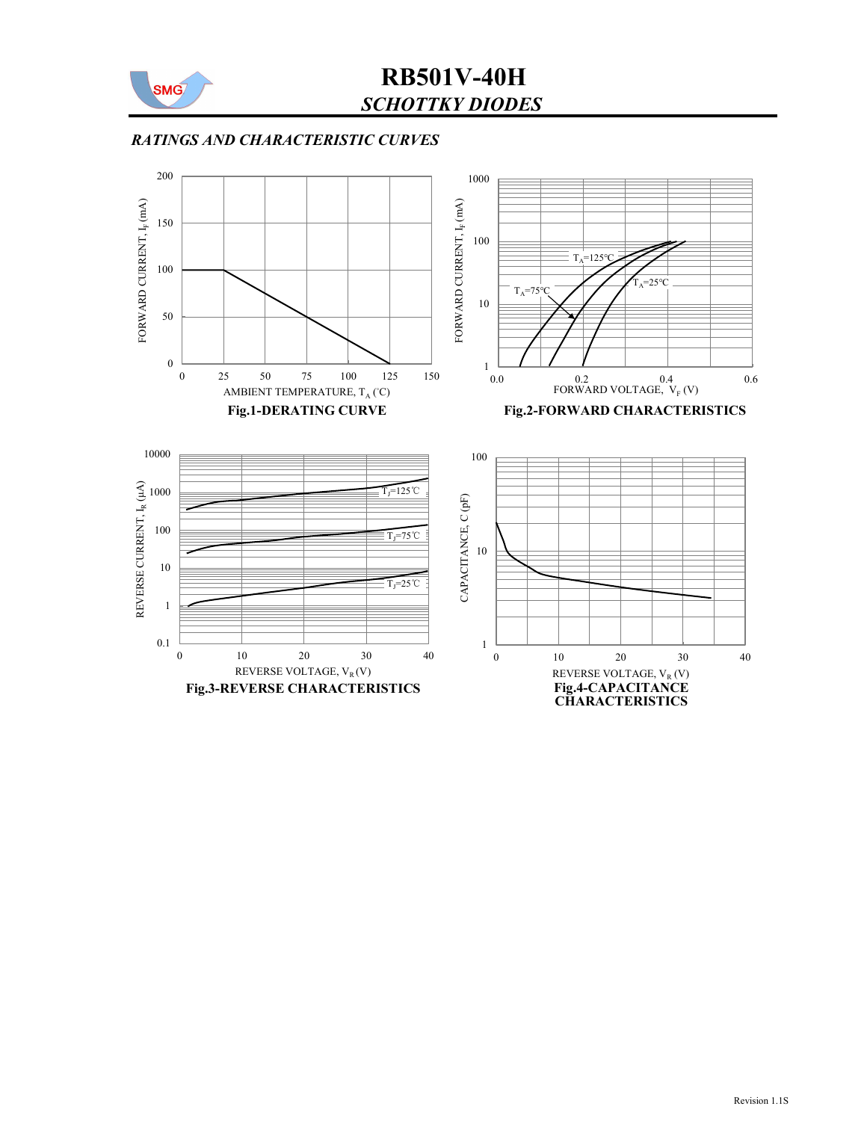

### RATINGS AND CHARACTERISTIC CURVES

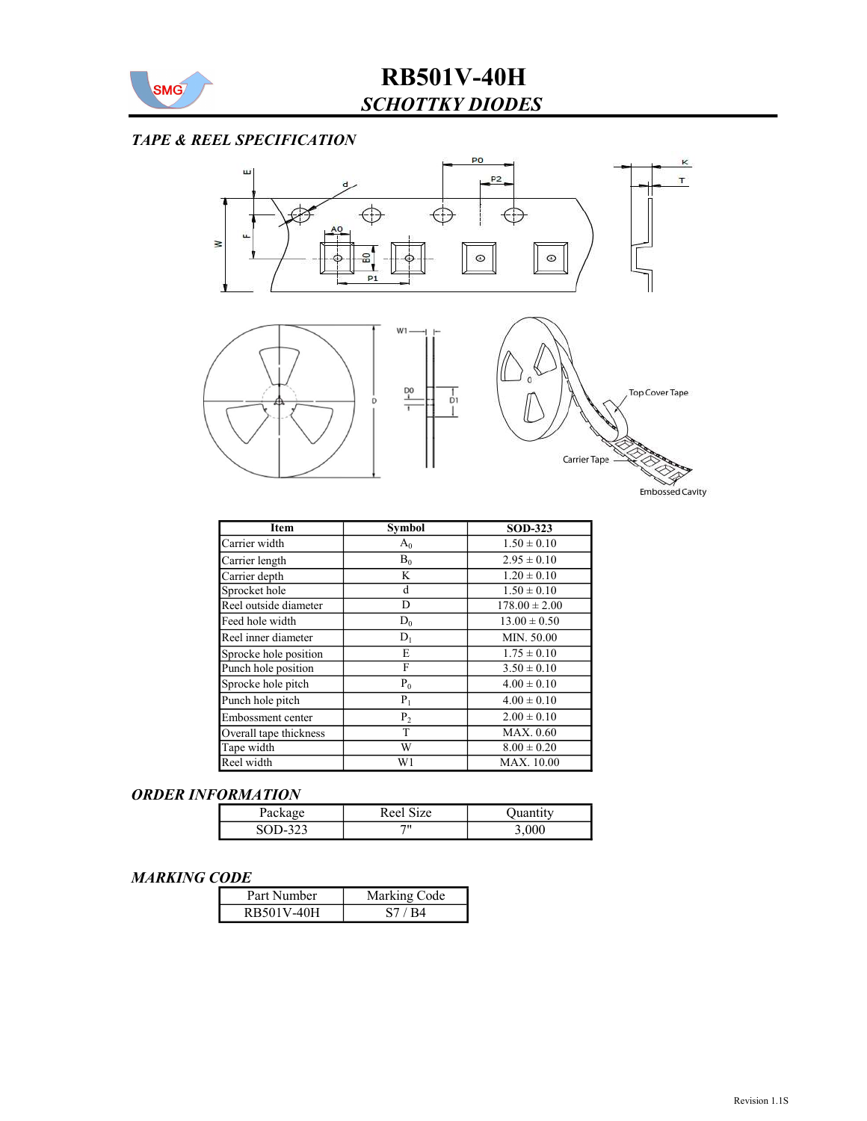

#### TAPE & REEL SPECIFICATION



| Item                   | <b>Symbol</b> | <b>SOD-323</b>    |
|------------------------|---------------|-------------------|
| Carrier width          | $A_0$         | $1.50 \pm 0.10$   |
| Carrier length         | $B_0$         | $2.95 \pm 0.10$   |
| Carrier depth          | K             | $1.20 \pm 0.10$   |
| Sprocket hole          | d             | $1.50 \pm 0.10$   |
| Reel outside diameter  | D             | $178.00 \pm 2.00$ |
| Feed hole width        | $D_0$         | $13.00 \pm 0.50$  |
| Reel inner diameter    | $D_1$         | MIN. 50.00        |
| Sprocke hole position  | Е             | $1.75 \pm 0.10$   |
| Punch hole position    | F             | $3.50 \pm 0.10$   |
| Sprocke hole pitch     | $P_0$         | $4.00 \pm 0.10$   |
| Punch hole pitch       | $P_1$         | $4.00 \pm 0.10$   |
| Embossment center      | $P_2$         | $2.00 \pm 0.10$   |
| Overall tape thickness | T             | MAX. 0.60         |
| Tape width             | W             | $8.00 \pm 0.20$   |
| Reel width             | W1            | <b>MAX.</b> 10.00 |

#### ORDER INFORMATION

| racka;        | $\sim$<br>R ee l<br>1Ze |       |
|---------------|-------------------------|-------|
| ∕ -∪∪د<br>ر__ | 711                     | 3,000 |

#### MARKING CODE

| Part Number | Marking Code |
|-------------|--------------|
| RB501V-40H  | S7 / R4      |